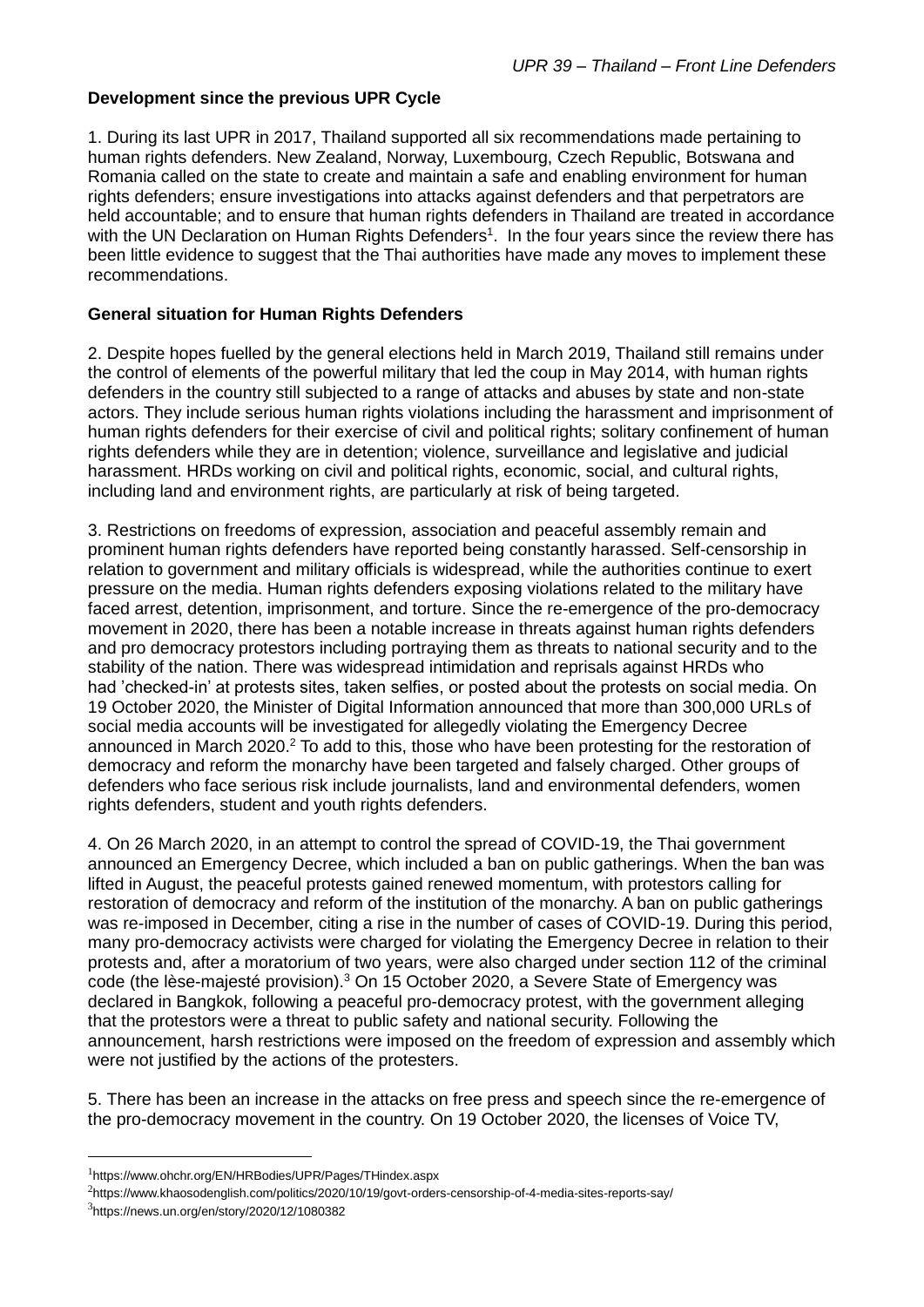### **Development since the previous UPR Cycle**

1. During its last UPR in 2017, Thailand supported all six recommendations made pertaining to human rights defenders. New Zealand, Norway, Luxembourg, Czech Republic, Botswana and Romania called on the state to create and maintain a safe and enabling environment for human rights defenders; ensure investigations into attacks against defenders and that perpetrators are held accountable; and to ensure that human rights defenders in Thailand are treated in accordance with the UN Declaration on Human Rights Defenders<sup>1</sup>. In the four years since the review there has been little evidence to suggest that the Thai authorities have made any moves to implement these recommendations.

### **General situation for Human Rights Defenders**

2. Despite hopes fuelled by the general elections held in March 2019, Thailand still remains under the control of elements of the powerful military that led the coup in May 2014, with human rights defenders in the country still subjected to a range of attacks and abuses by state and non-state actors. They include serious human rights violations including the harassment and imprisonment of human rights defenders for their exercise of civil and political rights; solitary confinement of human rights defenders while they are in detention; violence, surveillance and legislative and judicial harassment. HRDs working on civil and political rights, economic, social, and cultural rights, including land and environment rights, are particularly at risk of being targeted.

3. Restrictions on freedoms of expression, association and peaceful assembly remain and prominent human rights defenders have reported being constantly harassed. Self-censorship in relation to government and military officials is widespread, while the authorities continue to exert pressure on the media. Human rights defenders exposing violations related to the military have faced arrest, detention, imprisonment, and torture. Since the re-emergence of the pro-democracy movement in 2020, there has been a notable increase in threats against human rights defenders and pro democracy protestors including portraying them as threats to national security and to the stability of the nation. There was widespread intimidation and reprisals against HRDs who had 'checked-in' at protests sites, taken selfies, or posted about the protests on social media. On 19 October 2020, the Minister of Digital Information announced that more than 300,000 URLs of social media accounts will be investigated for allegedly violating the Emergency Decree announced in March 2020.<sup>2</sup> To add to this, those who have been protesting for the restoration of democracy and reform the monarchy have been targeted and falsely charged. Other groups of defenders who face serious risk include journalists, land and environmental defenders, women rights defenders, student and youth rights defenders.

4. On 26 March 2020, in an attempt to control the spread of COVID-19, the Thai government announced an Emergency Decree, which included a ban on public gatherings. When the ban was lifted in August, the peaceful protests gained renewed momentum, with protestors calling for restoration of democracy and reform of the institution of the monarchy. A ban on public gatherings was re-imposed in December, citing a rise in the number of cases of COVID-19. During this period, many pro-democracy activists were charged for violating the Emergency Decree in relation to their protests and, after a moratorium of two years, were also charged under section 112 of the criminal code (the lèse-majesté provision).<sup>3</sup> On 15 October 2020, a Severe State of Emergency was declared in Bangkok, following a peaceful pro-democracy protest, with the government alleging that the protestors were a threat to public safety and national security. Following the announcement, harsh restrictions were imposed on the freedom of expression and assembly which were not justified by the actions of the protesters.

5. There has been an increase in the attacks on free press and speech since the re-emergence of the pro-democracy movement in the country. On 19 October 2020, the licenses of Voice TV,

<sup>1</sup> https://www.ohchr.org/EN/HRBodies/UPR/Pages/THindex.aspx

<sup>2</sup> https://www.khaosodenglish.com/politics/2020/10/19/govt-orders-censorship-of-4-media-sites-reports-say/ 3 https://news.un.org/en/story/2020/12/1080382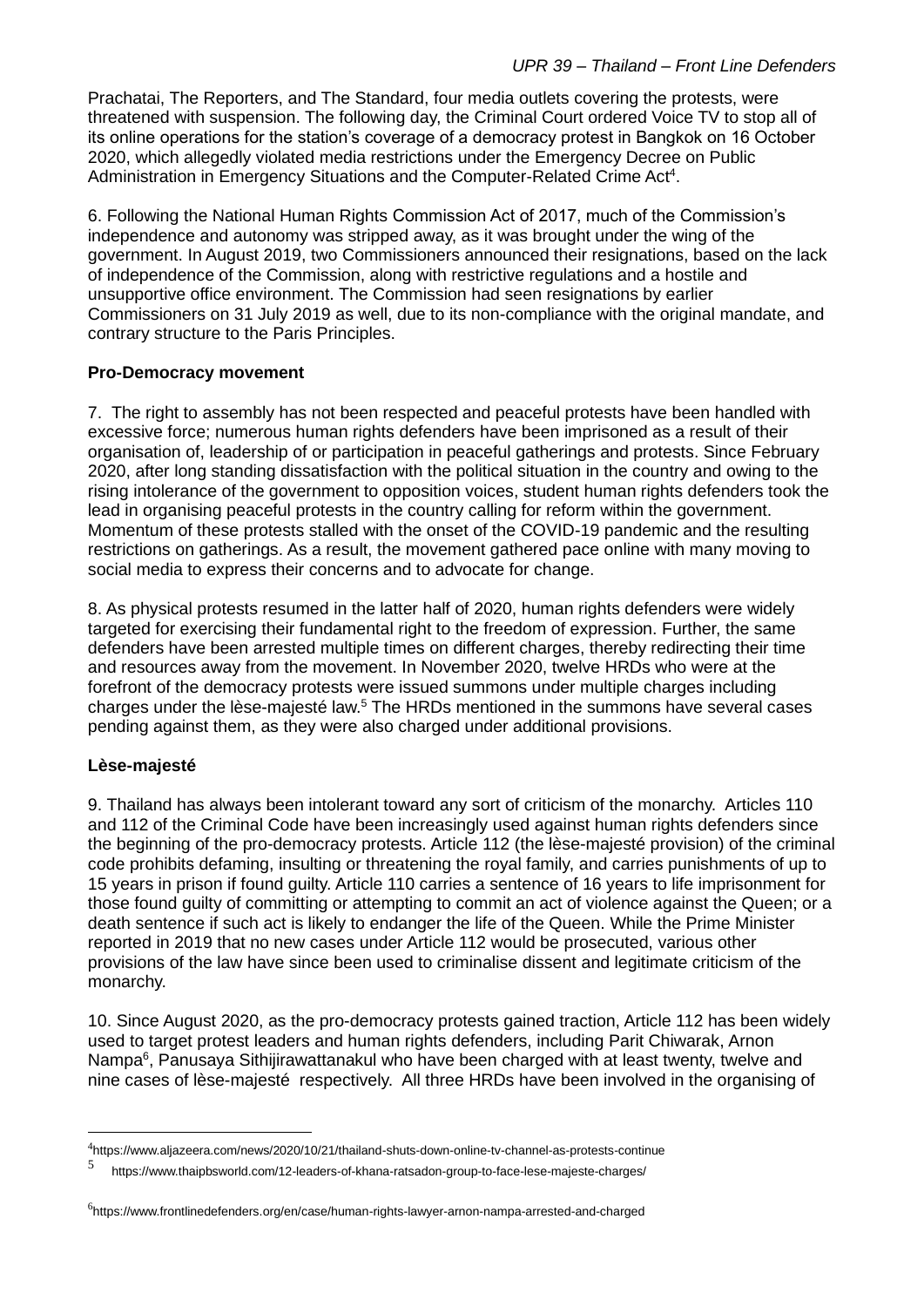Prachatai, The Reporters, and The Standard, four media outlets covering the protests, were threatened with suspension. The following day, the Criminal Court ordered Voice TV to stop all of its online operations for the station's coverage of a democracy protest in Bangkok on 16 October 2020, which allegedly violated media restrictions under the Emergency Decree on Public Administration in Emergency Situations and the Computer-Related Crime Act<sup>4</sup>.

6. Following the National Human Rights Commission Act of 2017, much of the Commission's independence and autonomy was stripped away, as it was brought under the wing of the government. In August 2019, two Commissioners announced their resignations, based on the lack of independence of the Commission, along with restrictive regulations and a hostile and unsupportive office environment. The Commission had seen resignations by earlier Commissioners on 31 July 2019 as well, due to its non-compliance with the original mandate, and contrary structure to the Paris Principles.

## **Pro-Democracy movement**

7. The right to assembly has not been respected and peaceful protests have been handled with excessive force; numerous human rights defenders have been imprisoned as a result of their organisation of, leadership of or participation in peaceful gatherings and protests. Since February 2020, after long standing dissatisfaction with the political situation in the country and owing to the rising intolerance of the government to opposition voices, student human rights defenders took the lead in organising peaceful protests in the country calling for reform within the government. Momentum of these protests stalled with the onset of the COVID-19 pandemic and the resulting restrictions on gatherings. As a result, the movement gathered pace online with many moving to social media to express their concerns and to advocate for change.

8. As physical protests resumed in the latter half of 2020, human rights defenders were widely targeted for exercising their fundamental right to the freedom of expression. Further, the same defenders have been arrested multiple times on different charges, thereby redirecting their time and resources away from the movement. In November 2020, twelve HRDs who were at the forefront of the democracy protests were issued summons under multiple charges including charges under the lèse-majesté law.<sup>5</sup> The HRDs mentioned in the summons have several cases pending against them, as they were also charged under additional provisions.

## **Lèse-majesté**

9. Thailand has always been intolerant toward any sort of criticism of the monarchy. Articles 110 and 112 of the Criminal Code have been increasingly used against human rights defenders since the beginning of the pro-democracy protests. Article 112 (the lèse-majesté provision) of the criminal code prohibits defaming, insulting or threatening the royal family, and carries punishments of up to 15 years in prison if found guilty. Article 110 carries a sentence of 16 years to life imprisonment for those found guilty of committing or attempting to commit an act of violence against the Queen; or a death sentence if such act is likely to endanger the life of the Queen. While the Prime Minister reported in 2019 that no new cases under Article 112 would be prosecuted, various other provisions of the law have since been used to criminalise dissent and legitimate criticism of the monarchy.

10. Since August 2020, as the pro-democracy protests gained traction, Article 112 has been widely used to target protest leaders and human rights defenders, including Parit Chiwarak, Arnon Nampa<sup>6</sup>, Panusaya Sithijirawattanakul who have been charged with at least twenty, twelve and nine cases of lèse-majesté respectively. All three HRDs have been involved in the organising of

<sup>4</sup> https://www.aljazeera.com/news/2020/10/21/thailand-shuts-down-online-tv-channel-as-protests-continue

<sup>5</sup> https://www.thaipbsworld.com/12-leaders-of-khana-ratsadon-group-to-face-lese-majeste-charges/

<sup>&</sup>lt;sup>6</sup>https://www.frontlinedefenders.org/en/case/human-rights-lawyer-arnon-nampa-arrested-and-charged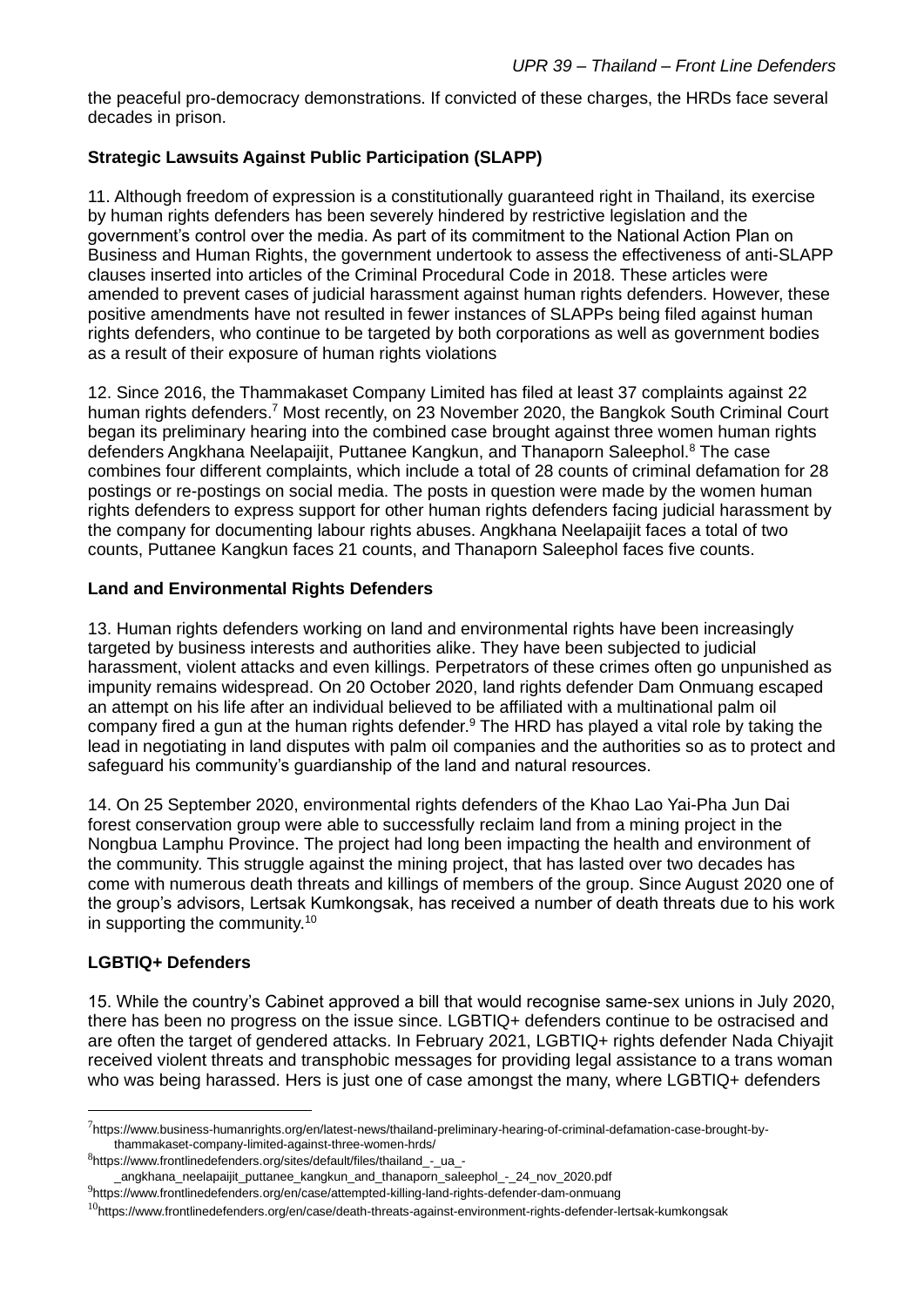the peaceful pro-democracy demonstrations. If convicted of these charges, the HRDs face several decades in prison.

# **Strategic Lawsuits Against Public Participation (SLAPP)**

11. Although freedom of expression is a constitutionally guaranteed right in Thailand, its exercise by human rights defenders has been severely hindered by restrictive legislation and the government's control over the media. As part of its commitment to the National Action Plan on Business and Human Rights, the government undertook to assess the effectiveness of anti-SLAPP clauses inserted into articles of the Criminal Procedural Code in 2018. These articles were amended to prevent cases of judicial harassment against human rights defenders. However, these positive amendments have not resulted in fewer instances of SLAPPs being filed against human rights defenders, who continue to be targeted by both corporations as well as government bodies as a result of their exposure of human rights violations

12. Since 2016, the Thammakaset Company Limited has filed at least 37 complaints against 22 human rights defenders.<sup>7</sup> Most recently, on 23 November 2020, the Bangkok South Criminal Court began its preliminary hearing into the combined case brought against three women human rights defenders Angkhana Neelapaijit, Puttanee Kangkun, and Thanaporn Saleephol.<sup>8</sup> The case combines four different complaints, which include a total of 28 counts of criminal defamation for 28 postings or re-postings on social media. The posts in question were made by the women human rights defenders to express support for other human rights defenders facing judicial harassment by the company for documenting labour rights abuses. Angkhana Neelapaijit faces a total of two counts, Puttanee Kangkun faces 21 counts, and Thanaporn Saleephol faces five counts.

### **Land and Environmental Rights Defenders**

13. Human rights defenders working on land and environmental rights have been increasingly targeted by business interests and authorities alike. They have been subjected to judicial harassment, violent attacks and even killings. Perpetrators of these crimes often go unpunished as impunity remains widespread. On 20 October 2020, land rights defender Dam Onmuang escaped an attempt on his life after an individual believed to be affiliated with a multinational palm oil company fired a gun at the human rights defender.<sup>9</sup> The HRD has played a vital role by taking the lead in negotiating in land disputes with palm oil companies and the authorities so as to protect and safeguard his community's guardianship of the land and natural resources.

14. On 25 September 2020, environmental rights defenders of the Khao Lao Yai-Pha Jun Dai forest conservation group were able to successfully reclaim land from a mining project in the Nongbua Lamphu Province. The project had long been impacting the health and environment of the community. This struggle against the mining project, that has lasted over two decades has come with numerous death threats and killings of members of the group. Since August 2020 one of the group's advisors, Lertsak Kumkongsak, has received a number of death threats due to his work in supporting the community.<sup>10</sup>

## **LGBTIQ+ Defenders**

15. While the country's Cabinet approved a bill that would recognise same-sex unions in July 2020, there has been no progress on the issue since. LGBTIQ+ defenders continue to be ostracised and are often the target of gendered attacks. In February 2021, LGBTIQ+ rights defender Nada Chiyajit received violent threats and transphobic messages for providing legal assistance to a trans woman who was being harassed. Hers is just one of case amongst the many, where LGBTIQ+ defenders

<sup>7</sup> https://www.business-humanrights.org/en/latest-news/thailand-preliminary-hearing-of-criminal-defamation-case-brought-bythammakaset-company-limited-against-three-women-hrds/

<sup>8</sup> https://www.frontlinedefenders.org/sites/default/files/thailand\_-\_ua\_-

\_angkhana\_neelapaijit\_puttanee\_kangkun\_and\_thanaporn\_saleephol\_-\_24\_nov\_2020.pdf

<sup>&</sup>lt;sup>9</sup>https://www.frontlinedefenders.org/en/case/attempted-killing-land-rights-defender-dam-onmuang

 $10$ https://www.frontlinedefenders.org/en/case/death-threats-against-environment-rights-defender-lertsak-kumkongsak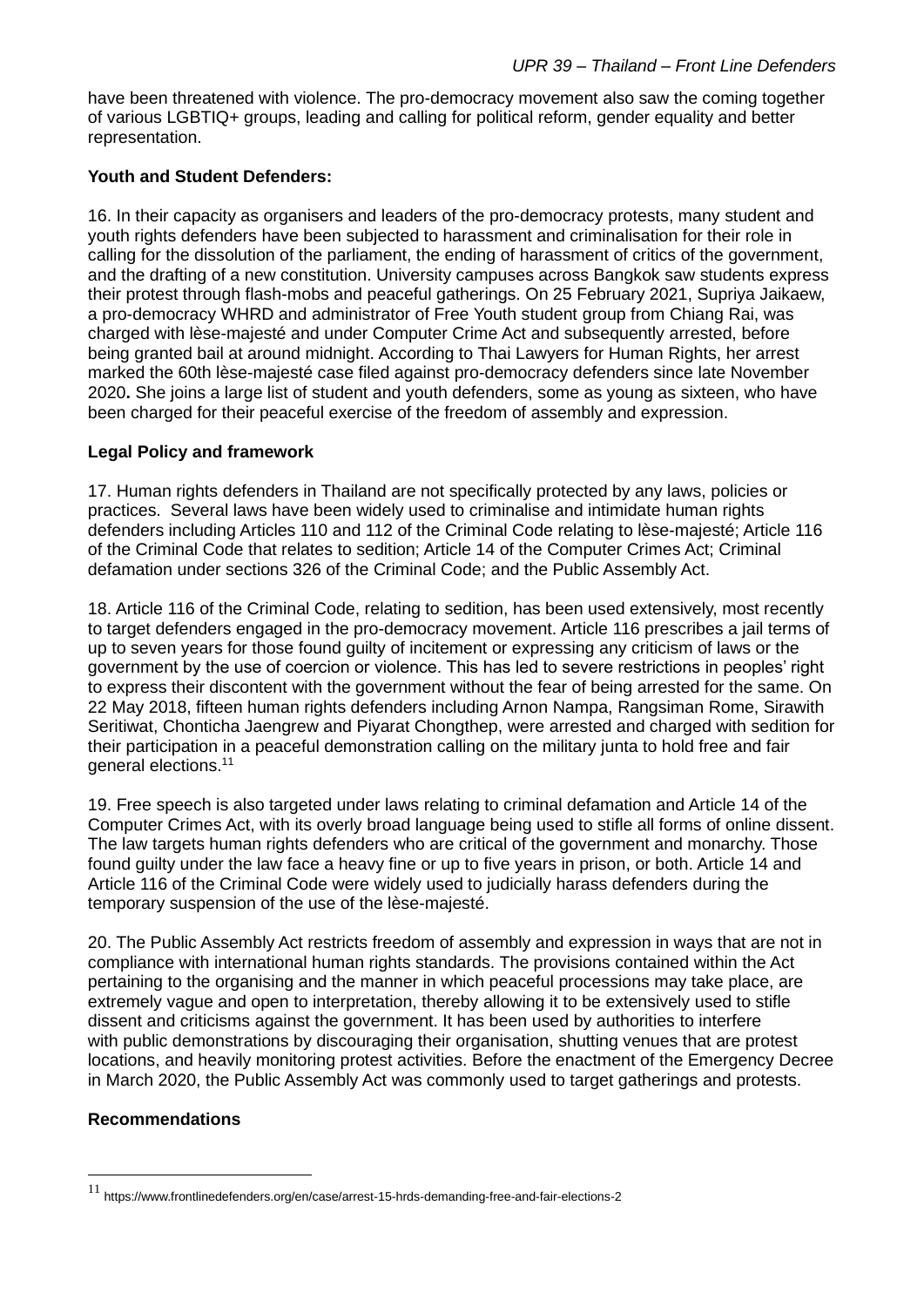have been threatened with violence. The pro-democracy movement also saw the coming together of various LGBTIQ+ groups, leading and calling for political reform, gender equality and better representation.

#### **Youth and Student Defenders:**

16. In their capacity as organisers and leaders of the pro-democracy protests, many student and youth rights defenders have been subjected to harassment and criminalisation for their role in calling for the dissolution of the parliament, the ending of harassment of critics of the government, and the drafting of a new constitution. University campuses across Bangkok saw students express their protest through flash-mobs and peaceful gatherings. On 25 February 2021, Supriya Jaikaew, a pro-democracy WHRD and administrator of Free Youth student group from Chiang Rai, was charged with lèse-majesté and under Computer Crime Act and subsequently arrested, before being granted bail at around midnight. According to Thai Lawyers for Human Rights, her arrest marked the 60th lèse-majesté case filed against pro-democracy defenders since late November 2020**.** She joins a large list of student and youth defenders, some as young as sixteen, who have been charged for their peaceful exercise of the freedom of assembly and expression.

### **Legal Policy and framework**

17. Human rights defenders in Thailand are not specifically protected by any laws, policies or practices. Several laws have been widely used to criminalise and intimidate human rights defenders including Articles 110 and 112 of the Criminal Code relating to lèse-majesté; Article 116 of the Criminal Code that relates to sedition; Article 14 of the Computer Crimes Act; Criminal defamation under sections 326 of the Criminal Code; and the Public Assembly Act.

18. Article 116 of the Criminal Code, relating to sedition, has been used extensively, most recently to target defenders engaged in the pro-democracy movement. Article 116 prescribes a jail terms of up to seven years for those found guilty of incitement or expressing any criticism of laws or the government by the use of coercion or violence. This has led to severe restrictions in peoples' right to express their discontent with the government without the fear of being arrested for the same. On 22 May 2018, fifteen human rights defenders including Arnon Nampa, Rangsiman Rome, Sirawith Seritiwat, Chonticha Jaengrew and Piyarat Chongthep, were arrested and charged with sedition for their participation in a peaceful demonstration calling on the military junta to hold free and fair general elections.<sup>11</sup>

19. Free speech is also targeted under laws relating to criminal defamation and Article 14 of the Computer Crimes Act, with its overly broad language being used to stifle all forms of online dissent. The law targets human rights defenders who are critical of the government and monarchy. Those found guilty under the law face a heavy fine or up to five years in prison, or both. Article 14 and Article 116 of the Criminal Code were widely used to judicially harass defenders during the temporary suspension of the use of the lèse-majesté.

20. The Public Assembly Act restricts freedom of assembly and expression in ways that are not in compliance with international human rights standards. The provisions contained within the Act pertaining to the organising and the manner in which peaceful processions may take place, are extremely vague and open to interpretation, thereby allowing it to be extensively used to stifle dissent and criticisms against the government. It has been used by authorities to interfere with public demonstrations by discouraging their organisation, shutting venues that are protest locations, and heavily monitoring protest activities. Before the enactment of the Emergency Decree in March 2020, the Public Assembly Act was commonly used to target gatherings and protests.

## **Recommendations**

<sup>11</sup> https://www.frontlinedefenders.org/en/case/arrest-15-hrds-demanding-free-and-fair-elections-2